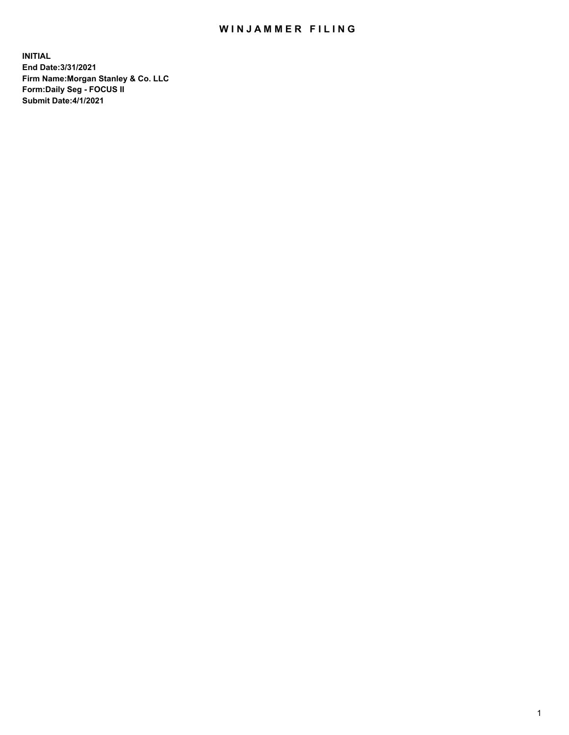## WIN JAMMER FILING

**INITIAL End Date:3/31/2021 Firm Name:Morgan Stanley & Co. LLC Form:Daily Seg - FOCUS II Submit Date:4/1/2021**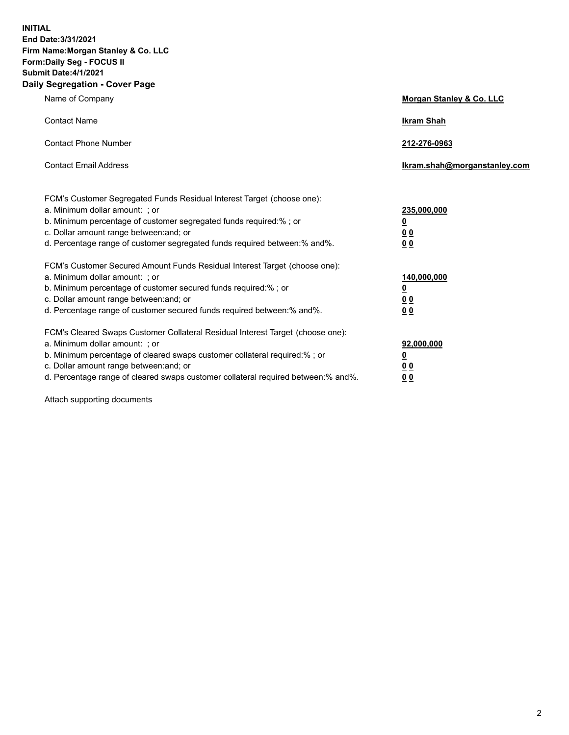**INITIAL End Date:3/31/2021 Firm Name:Morgan Stanley & Co. LLC Form:Daily Seg - FOCUS II Submit Date:4/1/2021 Daily Segregation - Cover Page**

| Name of Company                                                                                                                                                                                                                                                                                                                | Morgan Stanley & Co. LLC                                    |
|--------------------------------------------------------------------------------------------------------------------------------------------------------------------------------------------------------------------------------------------------------------------------------------------------------------------------------|-------------------------------------------------------------|
| <b>Contact Name</b>                                                                                                                                                                                                                                                                                                            | <b>Ikram Shah</b>                                           |
| <b>Contact Phone Number</b>                                                                                                                                                                                                                                                                                                    | 212-276-0963                                                |
| <b>Contact Email Address</b>                                                                                                                                                                                                                                                                                                   | Ikram.shah@morganstanley.com                                |
| FCM's Customer Segregated Funds Residual Interest Target (choose one):<br>a. Minimum dollar amount: ; or<br>b. Minimum percentage of customer segregated funds required:% ; or<br>c. Dollar amount range between: and; or<br>d. Percentage range of customer segregated funds required between: % and %.                       | 235,000,000<br><u>0</u><br>00<br>0 <sub>0</sub>             |
| FCM's Customer Secured Amount Funds Residual Interest Target (choose one):<br>a. Minimum dollar amount: ; or<br>b. Minimum percentage of customer secured funds required:%; or<br>c. Dollar amount range between: and; or<br>d. Percentage range of customer secured funds required between:% and%.                            | 140,000,000<br><u>0</u><br>0 <sub>0</sub><br>0 <sub>0</sub> |
| FCM's Cleared Swaps Customer Collateral Residual Interest Target (choose one):<br>a. Minimum dollar amount: ; or<br>b. Minimum percentage of cleared swaps customer collateral required:% ; or<br>c. Dollar amount range between: and; or<br>d. Percentage range of cleared swaps customer collateral required between:% and%. | 92,000,000<br><u>0</u><br>0 Q<br>0 <sub>0</sub>             |

Attach supporting documents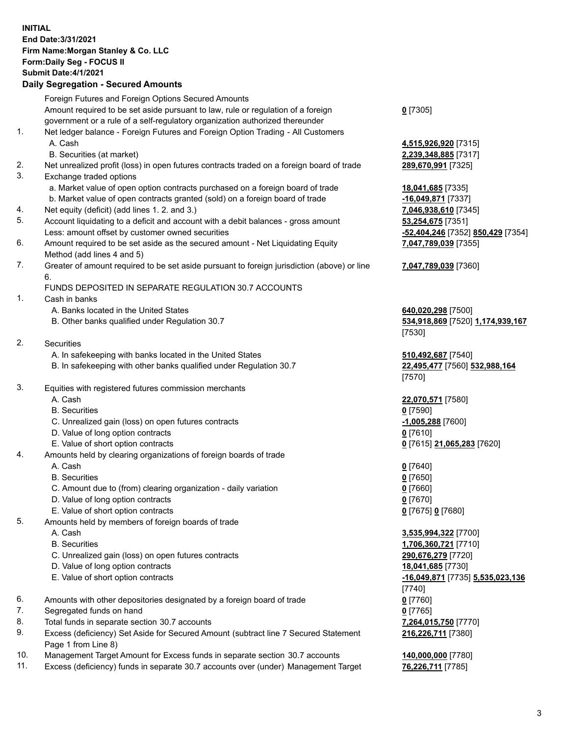## **INITIAL End Date:3/31/2021 Firm Name:Morgan Stanley & Co. LLC Form:Daily Seg - FOCUS II Submit Date:4/1/2021 Daily Segregation - Secured Amounts** Foreign Futures and Foreign Options Secured Amounts

Amount required to be set aside pursuant to law, rule or regulation of a foreign government or a rule of a self-regulatory organization authorized thereunder 1. Net ledger balance - Foreign Futures and Foreign Option Trading - All Customers A. Cash **4,515,926,920** [7315] B. Securities (at market) **2,239,348,885** [7317] 2. Net unrealized profit (loss) in open futures contracts traded on a foreign board of trade **289,670,991** [7325] 3. Exchange traded options a. Market value of open option contracts purchased on a foreign board of trade **18,041,685** [7335] b. Market value of open contracts granted (sold) on a foreign board of trade **-16,049,871** [7337] 4. Net equity (deficit) (add lines 1. 2. and 3.) **7,046,938,610** [7345] 5. Account liquidating to a deficit and account with a debit balances - gross amount **53,254,675** [7351] Less: amount offset by customer owned securities **-52,404,246** [7352] **850,429** [7354] 6. Amount required to be set aside as the secured amount - Net Liquidating Equity Method (add lines 4 and 5) 7. Greater of amount required to be set aside pursuant to foreign jurisdiction (above) or line 6. FUNDS DEPOSITED IN SEPARATE REGULATION 30.7 ACCOUNTS 1. Cash in banks A. Banks located in the United States **640,020,298** [7500] B. Other banks qualified under Regulation 30.7 **534,918,869** [7520] **1,174,939,167** 2. Securities A. In safekeeping with banks located in the United States **510,492,687** [7540] B. In safekeeping with other banks qualified under Regulation 30.7 **22,495,477** [7560] **532,988,164** 3. Equities with registered futures commission merchants A. Cash **22,070,571** [7580] B. Securities **0** [7590] C. Unrealized gain (loss) on open futures contracts **-1,005,288** [7600] D. Value of long option contracts **0** [7610] E. Value of short option contracts **0** [7615] **21,065,283** [7620] 4. Amounts held by clearing organizations of foreign boards of trade A. Cash **0** [7640] B. Securities **0** [7650] C. Amount due to (from) clearing organization - daily variation **0** [7660] D. Value of long option contracts **0** [7670] E. Value of short option contracts **0** [7675] **0** [7680] 5. Amounts held by members of foreign boards of trade A. Cash **3,535,994,322** [7700] B. Securities **1,706,360,721** [7710] C. Unrealized gain (loss) on open futures contracts **290,676,279** [7720] D. Value of long option contracts **18,041,685** [7730] E. Value of short option contracts **-16,049,871** [7735] **5,535,023,136** 6. Amounts with other depositories designated by a foreign board of trade **0** [7760] 7. Segregated funds on hand **0** [7765]

- 8. Total funds in separate section 30.7 accounts **7,264,015,750** [7770]
- 9. Excess (deficiency) Set Aside for Secured Amount (subtract line 7 Secured Statement Page 1 from Line 8)
- 10. Management Target Amount for Excess funds in separate section 30.7 accounts **140,000,000** [7780]
- 11. Excess (deficiency) funds in separate 30.7 accounts over (under) Management Target **76,226,711** [7785]

**0** [7305]

**7,047,789,039** [7355]

## **7,047,789,039** [7360]

[7530]

[7570]

[7740] **216,226,711** [7380]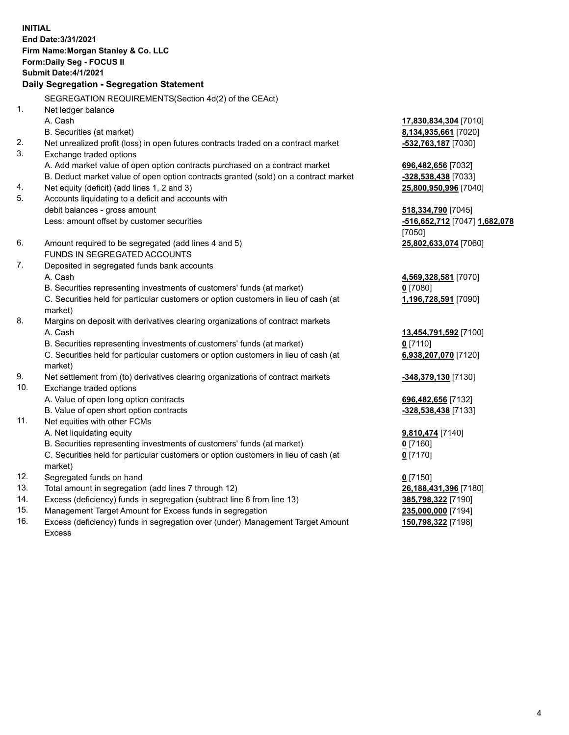**INITIAL End Date:3/31/2021 Firm Name:Morgan Stanley & Co. LLC Form:Daily Seg - FOCUS II Submit Date:4/1/2021 Daily Segregation - Segregation Statement** SEGREGATION REQUIREMENTS(Section 4d(2) of the CEAct) 1. Net ledger balance A. Cash **17,830,834,304** [7010] B. Securities (at market) **8,134,935,661** [7020] 2. Net unrealized profit (loss) in open futures contracts traded on a contract market **-532,763,187** [7030] 3. Exchange traded options A. Add market value of open option contracts purchased on a contract market **696,482,656** [7032] B. Deduct market value of open option contracts granted (sold) on a contract market **-328,538,438** [7033] 4. Net equity (deficit) (add lines 1, 2 and 3) **25,800,950,996** [7040] 5. Accounts liquidating to a deficit and accounts with debit balances - gross amount **518,334,790** [7045] Less: amount offset by customer securities **-516,652,712** [7047] **1,682,078** [7050] 6. Amount required to be segregated (add lines 4 and 5) **25,802,633,074** [7060] FUNDS IN SEGREGATED ACCOUNTS 7. Deposited in segregated funds bank accounts A. Cash **4,569,328,581** [7070] B. Securities representing investments of customers' funds (at market) **0** [7080] C. Securities held for particular customers or option customers in lieu of cash (at market) **1,196,728,591** [7090] 8. Margins on deposit with derivatives clearing organizations of contract markets A. Cash **13,454,791,592** [7100] B. Securities representing investments of customers' funds (at market) **0** [7110] C. Securities held for particular customers or option customers in lieu of cash (at market) **6,938,207,070** [7120] 9. Net settlement from (to) derivatives clearing organizations of contract markets **-348,379,130** [7130] 10. Exchange traded options A. Value of open long option contracts **696,482,656** [7132] B. Value of open short option contracts **-328,538,438** [7133] 11. Net equities with other FCMs A. Net liquidating equity **9,810,474** [7140] B. Securities representing investments of customers' funds (at market) **0** [7160] C. Securities held for particular customers or option customers in lieu of cash (at market) **0** [7170] 12. Segregated funds on hand **0** [7150] 13. Total amount in segregation (add lines 7 through 12) **26,188,431,396** [7180] 14. Excess (deficiency) funds in segregation (subtract line 6 from line 13) **385,798,322** [7190] 15. Management Target Amount for Excess funds in segregation **235,000,000** [7194]

16. Excess (deficiency) funds in segregation over (under) Management Target Amount Excess

**150,798,322** [7198]